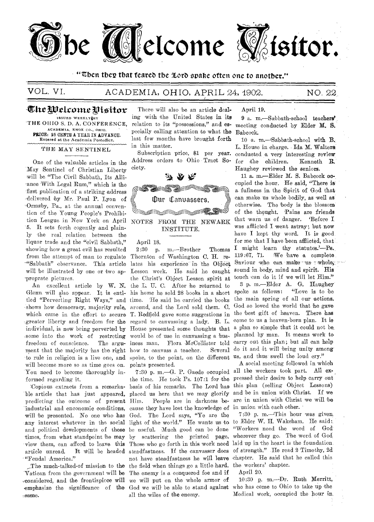

"then they that feared the loth svahe often one to another."

# VOL. VI. ACADEMIA, OHIO, APRIL 24, 4902. NO. 22.

# The Welcome Pisitor $\,$

ISSUED WEEKLYEBY 'THE OHIO S. D. A. CONFERENCE, ACADEMIA, KNOX CO., OHIO. PRICE: 25 CENTS A YEAR IN ADVANCE. Entered at the Academia Postoffice.

### THE MAY SENTINEL

One of the valuable articles in the May Sentinel of Christian Liberty will be "The Civil Sabbath, Its Alliance With Legal Rum," which is the first publication of a striking address delivered by Mr. Paul P. Lyon of 'Ormsby, Pa., at the annual convention of the Young People's Prohibition League in New York on April NOTES FROM THE NEWARK 5. It sets forth cogently and plain- INSTITUTE. ly the real relation between the liquor trade and the "civil Sabbath," April 18.<br>showing how a great evil has resulted 2:30 p. showing how a great evil has resulted 2:30 p. m.--Brother Thomas from the attempt of man to regulate Thornton of Washington C. H. re- 'Sabbath" observance. This article lates his experience in the Object will be illustrated by one or two ap- Lesson work. He said he caught proprate pictures. the Christ's Object Lesson spirit at

Glenn will also appear. It is enti- his home he sold 28 books in a short tled "Perverting Right Ways," and time. He said he carried the books shows how democracy, majority rule, around, and the Lord sold them. C. which came in the effort to secure T. Redfield gave some suggestions in -greater liberty and freedom for the regard to canvassing a lady. B. L. individual, is now being perverted by House presented some thoughts that some into the work of restreting would be of use in canvassing a busfreedom of conscience. The argu- iness man. Flora McCollister told<br>ment that the majority has the right how to canvass a teacher. Several ment that the majority has the right how to canvass a teacher. to rule in religion is a live one, and spoke, to the point, on the different will become more so as time goes on. points presented. You need to become thoroughly in- 7:30 p. m. - G. P. Gaede occupied all the workers took part. All exformed regarding it. the time. He took Ps.  $107:1$  for the

ble article that has just appeared, placed us here that we may glorify predicting the outcome of present Him. People are in darkness bepredicting the outcome of present Him. industrial and enconomie conditions, cause they have lost the knowledge of will be presented. No one who' has God. The Lord says, "Ye are the any interest whatever in the social light of the world." He wants us to and political developments of these be useful. Much good can be done times, from what standpoint he may by scattering the printed page. wherever they go. The word of God view them, can afford to leave this Those who go forth in this work need laid up in the heart is the foundation article unread. It will be headed steadfastness. If the canvasser does of strength." He read 2 Timothy, 2d

Vatican from the government will be The enemy is a conquered foe and if considered, and the frontispicce will we will put on the whole armor of .considered, and the frontispiece will we will put on the whole armor of emphasize the significance of the same. all the wiles of the enemy.

There will also 'be an article dealing with the United States in its relation to its "possessions," and especially calling attention to what the last few months have brought forth in this matter.

Address orders to Ohio Tract Society.



An excellent article by W. N. the L. U. C. After he returned to

Copious extracts from a remerka- basis of his remarks. The Lord has The much-talked-of mission to the the field when things go a little hard.

#### April 19.

9 a. m.—Sabbath-school teachers/ meeting conducted by Elder M. S. Babcock.

Subscription price, \$1 per year. conducted a very interesting review 10 a. m.—Sabbath-school with B. L. House in charge. Ida M. Walters for the children. Kenneth R. Haughey reviewed the seniors.

> 11 a. m.—Elder M. S. Babcock occupied the hour. He said, "There is a fullness in the Spirit of God that can make us whole bodily, as well as otherwise. The body is the blossom of the thought. Pains are friends that warn us of danger. 'Before I was afflicted I went astray; but now have I kept thy word. It is good for me that I have been afflicted, that I might learn thy statutes.'—Ps. 119:67, 71. We have a complete Saviour who can make us  $\tau$  whole. sound in body, mind and spirit. His touch can do it if we will let Him." 3 p. m.—Elder A. G. Haughey spoke as follows: "Love is to be the main spring of all our actions. God so loved the world that he gave the best gift of heaven. There has come to us a heaven-born plan. It is a plan so simple that it could not be.

carry out this plan; but all can help do it and it will 'bring unity among' us, and thus swell the loud cry." A social meeting followed in which

planned by man. It means work to

pressed their desire to help carry out this plan (selling Object Lessons) and be in union with Christ. If we are in union with Christ we will be in union with each other.

"Feudal America." 
not have steadfastness he will leave chapter. He said that he called this 7:30 p. m.—'This hour was given to Elder W. H. Wakeham. He said: "Workers need the word of God' the workers' chapter.

April 20,

10:30 p. Ruth Merritt, who has come to Ohio to take up the Medical work, occupied the 'hour in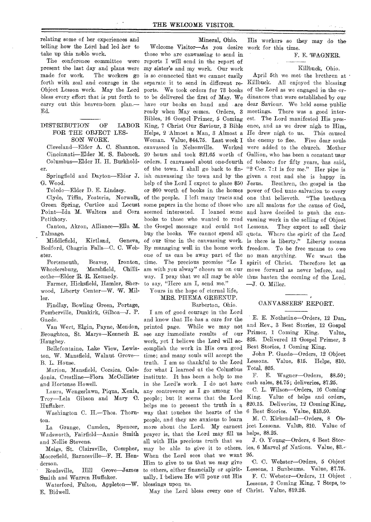**relating some of her experiences and telling how the Lord had led her to take up this noble work.** 

**The conference committee were present the last day and plans were made for work. The workers go forth with zeal and courage in the Object Lesson work. May the Lord bless every effort that is put forth to carry out this heaven-born plan.-- Ed.** 

**DISTRIBUTION OF LABOR FOR THE OBJECT LES-SON WORK.** 

**Cleveland—Elder A. C. Shannon. Cincinnati—Elder M. 'S. Babcock. Columbus—Elder H. H. Burkholder.** 

**Springfield and Dayton—Elder J. G. Wood.** 

**Toledo—Elder D. E. Lindsey.** 

**Clyde, Tiffin, Fostoria, Norwalk,**  Green Spring, Curtice and Locust **Point—Ida M. Walters and Cora Petithory.** 

**Canton, Akron, Alliance—Ella M. Talmage.** 

**Middlefield, Kirtland, Geneva, Bedford, Chagrin Falls—C. C. Webster.** 

**Portsmouth, Beaver, Ironton, Wheelersburg, Marshfield, Chillicothe—Elder R. R. Kennedy.** 

**Farmer, Hicksfield, Ramie; Sherwood, Liberty Center—W. W. Miller.** 

**Findlay, Bowling Green, Portage, Pemberville, Dunkirk, Gilboa—J. P. Gaede.** 

**Van Wert, Elgin, Payne, Mendon, Broughton, St. Marys—Kenneth R. Haughey.** 

**Bellefontaine, Lake View, Lewiston, W. Mansfield, Walnut Grove— B. L. House.** 

**Marion, Mansfield, Corsica, Caledonia, Crestline—Flora McCollister and Hortense Howell.** 

**Laura, Wengerlawn, Piqua, Xenia, Troy—Lela Gibson and Mary 0; Huffaker.** 

**Washington C. H.—Thos. Thornton.** 

**La Grange, Camden, Spencer, Wadsworth, Fairfield—Annie Smith and Nellie Stevens.** 

**Meigs, 'St. Clairsville, Compher, Moorefield, Barnesville—F. H. Henderson.** 

**Reedsville, Hill Grove—James Smith and Warren Huffaker.** 

**Waterford, Fulton, Appleton—W. E. Bidwell.** 

**Mineral, Ohio. Welcome Visitor—As you desire those who are canvassing to send in reports I will send in the report of my sister's and my work. Our work is so connected that we cannot easily ports. We took orders for 73 books of the Lord as we engaged in the orto be delivered the** *first of May.* **We dinances that were established by our ready when May comes. Orders, 3 meetings. There was a good inter-Bibles, 16 Gospel Primer, 5 Coming est. The Lord manifested His pres-Helps, 2 Almost a Man, 3 Almost a He drew nigh to us. This caused**  Woman. Value, \$44.75. Last week I the enemy to flee. Five dear souls canvassed in Nelsonville. **20 hours and took \$21.65 worth of 'Gallion, who has been a constant user orders. I canvassed about one-fourth of tobacco for fifty years, has said,**  of the town. I shall go back to fin- "2 Cor. 7:1 is for me." Her pipe is ish canvassing the town and by the given a rest and she is happy in **some papers in the home of those who are all zealous for the cause of God,**  seemed interested. I loaned some and have decided to push the can**books to those who wanted to read vassing work in the selling of Object the Gospel message and could not buy the books. We cannot spend all quota. Where the spirit of the Lord of our time in the canvassing work. is there is liberty." Liberty means By managing well in the home work freedom. To be free means to owe one of us can be away part of the no man anything. We want the time. The precious promise "Lo I spirit of Christ. Therefore let us am with you alway" cheers us on our move forward as never before, and** 

**to say, "Here am I, send me." Yours in the hope of eternal life,** 

### **MRS. PHEMA GREENUP.**

**Barberton, Ohio.** 

**I am of good courage in the Lord and know that He has a care for the printed page. While we may not**  see any immediate results of our **work, yet I believe the Lord will accomplish the work in His own good time; and many souls will accept the truth. I am so thankful to the Lord**  for what I learned at the Columbus **institute. It has been a help to me in the Lord's work. I do not have any controversy as I go among the people; but it seems that the Lord helps me to present the truth in way that touches the hearts of the people, and they are anxious to learn**  more about the Lord. My earnest ject Lessons. Value, \$10. Value of **prayer is; that the Lord may fill us all with His precious truth that we may be able to give it to others. When the Lord sees that we want Him to give to us that we may give to others, either financially or spiritually, I believe He will pour out His blessings upon us.** 

**May the Lord bless every one of Christ. Value, \$19.25.** 

**His workers so they may do the work for this time.** 

#### **F. E. WAGNER.**

### **Killbuck, Ohio.**

**separate it to send in different re-Killbuck. All enjoyed the blessing have our books on hand and are dear Saviour. We held some public. King, 7 Christ Our Saviour, 3 Bible ence, and as we drew nigh to Him,. help of the Lord I expect to place \$50 Jesus. Brethren, the gospel is the or \$60 worth of books in the homes power of God unto salvation to every of the people. I left many tracts and one that believeth. "The brethren way. I pray that we all may be able thus hasten the coming of the Lord.. April 5th we met the brethren at were added to the church. Mother**  They expect to sell their **—J. 0. Miller.** 

## **CANVASSERS' REPORT.**

**• E. E. Nothstine—Orders, 12 Dan..**  and Rev., 3 Best Stories, 12 Gospel **Primer, 1 Coming King. Value,. \$25. Delivered 13 Gospel Primer, 3 Best Stories, 1 Coming King.** 

**John P. Gaede—Orders, 12 Object Lessons. Value, \$15. Helps, \$10. Total, \$25.** 

**F. E. Wagner—Orders, \$8.50; cash sales, \$4.75; deliveries, \$7.25.** 

**C. L. Wilson—Orders, 16 Coming-King. Value of helps and orders, \$20.15. Deliveries, 12 Coming King,, 6 Best Stories. Value, \$13.50.** 

**M. C. Kirkendall—Orders, 8 Obhelps, \$8.25.** 

J. O. Young-Orders, 6 Best Stor**ies, 6 Marvel of Nations. Value, \$3.- 2,5.** 

**C. C. Webster—Orders, 5 Object Lessons, 1 Sunbeams. Value, \$7.75..** 

**F. C: Webster—Orders, 11 Object ,**  Lessons, 2 Coming King, 7 Steps. to-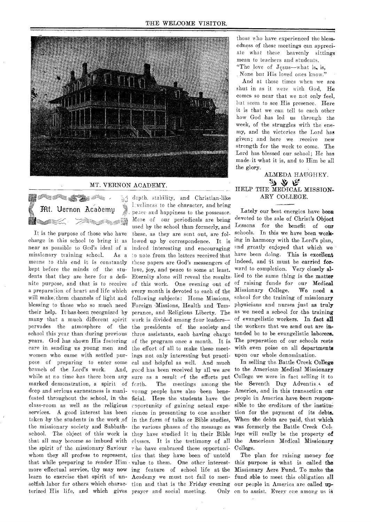

#### MT. VERNON ACADEMY.

DS D SE STAR IS  $H$ t. Uernon Academu È≳∉≳∉Ñ ta Sun I 111--<sup>E</sup>

It is the purpose of those who have charge in this school to bring it as near as possible to Gcd's ideal of a indeed interesting and encouraging missionary training school. As a branch of the Lord's work. the spirit of the missionary Saviour who have embraced these opportuniwhom they all profess to represent, ties that they have been of' untold terized His life, and which gives prayer and social meeting. Only

means to this end it is constantly these papers are God's messengers of indeed, and it must be carried forkept before the minds of the stu- love, joy, and peace to some at least. ward to completion. Very closely aldents that they are here for a defi- Eternity alone will reveal the results-lied to the same thing is the matter nite purpose, and that is to receive of this work. One evening out of of raising funds for our Medical a preparation of heart and life which every month is devoted to each of the Missionary College. We need a will make them channels of light and following subjects: Home Missions, school for the training of missionary blessing to those who so much need Foreign Missions, Health and Tem-physicians and nurses just as truly their help. It has been recognized by perance, and Religious Liberty. The as we need a school for the training many that a much different spirit work is divided among four leaders- of evangelistic workers. In fact all pervades the atmosphere of the the presidents of the society- and the workers that we send out are inschool this year than during previous three assistants, each having charge tended be to be evangelistic laborers. years. God has shown His fostering of the program once a month. It is The preparation of our schools rests care in sending us young men and the effort of all to make these meet- with even poise on all departments women who came with settled pur-ings not only interesting but practi-upon our whole denomination. pose of preparing to enter some cal and helpful as well. And much while at no time has there been any sure as a result of the efforts put College we were in fact selling it to marked demonstration, a spirit of forth. The meetings among the the Seventh Day Adventis.s of deep and serious earnestness is mani- vonng people have also been bene- America, and in this transaction our fested throughout the school, in the ficial. Here the students have the people in America have been responclass-room as well as the religious coportunity of gaining actual expe- sible to the creditors of the instituservices. A good interest has been rience in presenting to one another tion for the payment of its debts. taken by the students in the work of in the form of talks or Bible studies, When the debts are paid, that which the missionary society and Sabbath- the various phases of the message as was formerly the Battle Creek Colschool. The object of this work is they have studied it in their Bible lege will really be the property of that all may become so imbued with classes. It is the testimony of all the American Medical Missionary that while preparing to render  $\text{Him} \cdot \text{value}$  to them. One other interest- this purpose is what is called the more effectual service, thy may now ing feature of school life at the Missionary Acre Fund. To make the learn to exercise that spirit of un-Academy we must not fail to men-fund able to meet this obligation all selfish labor for others which charac- tion and that is the Friday evening our people in America are called updcpth, stability, and Christian-like 1:veliness to the character, and bring peace and happiness to the possessor. More of our periodicals are being used by the school than formerly, and these, as they are sent out, are followed up by correspondence. It is o note from the letters received that good has been received by all we are to the American Medical Missionary

those who have experienced the blessedness of these meetings can appreciate what these heavenly sittings mean to teachers and students.

"The love of Jesus—what is, is,

\_None but His loved ones know." And at these times when we are shut in as it were with God, He comes so near that we not only feel, but seem to see His presence. Here it is that we can tell to each other how God has led us through the week, of the struggles with the enemy, and the victories the Lord has given; and here we receive new strength for the week to come. The Lord has blessed our school; He has made. it what it is, and to Him be all the glory.

ALMEDA HAUGHEY. かから HELP THE MEDICAL MISSION-ARY COLLEGE.

Lately our best energies have been devoted to the sale of Christ's Object Lessons for the benefit of our schools. In this we have been working in harmony with the Lord's plan, and greatly enjoyed that which we have been doing. This is excellent

In selling the Battle Creek College College.

The plan for raising money for Only on to assist. Every one among us is